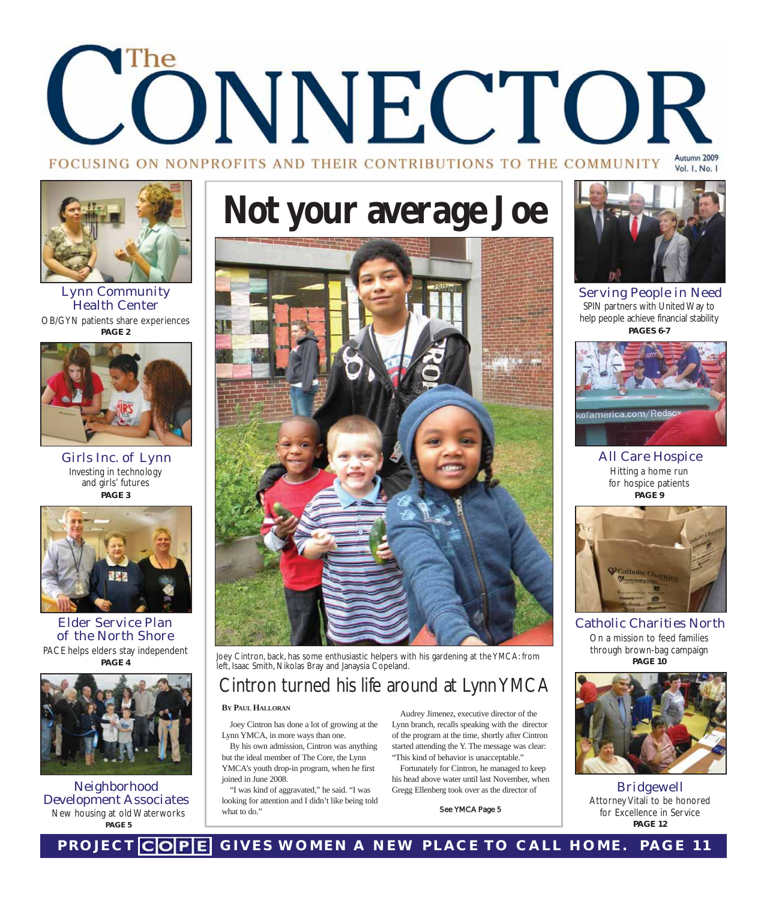## The ONNECTOR Autumn 2009 FOCUSING ON NONPROFITS AND THEIR CONTRIBUTIONS TO THE COMMUNITY Vol. 1, No. 1



Lynn Community Health Center OB/GYN patients share experiences **PAGE 2**



Girls Inc. of Lynn Investing in technology and girls' futures **PAGE 3**



Elder Service Plan of the North Shore PACE helps elders stay independent **PAGE 4**



Neighborhood Development Associates New housing at old Waterworks **PAGE 5**

## **Not your average Joe**



Joey Cintron, back, has some enthusiastic helpers with his gardening at the YMCA: from left, Isaac Smith, Nikolas Bray and Janaysia Copeland.

## Cintron turned his life around at Lynn YMCA

### **BY PAUL HALLORAN**

Joey Cintron has done a lot of growing at the Lynn YMCA, in more ways than one.

By his own admission, Cintron was anything but the ideal member of The Core, the Lynn YMCA's youth drop-in program, when he first joined in June 2008.

"I was kind of aggravated," he said. "I was looking for attention and I didn't like being told what to do.'

Audrey Jimenez, executive director of the Lynn branch, recalls speaking with the director of the program at the time, shortly after Cintron started attending the Y. The message was clear: "This kind of behavior is unacceptable."

Fortunately for Cintron, he managed to keep his head above water until last November, when Gregg Ellenberg took over as the director of

See YMCA Page 5



Serving People in Need SPIN partners with United Way to help people achieve financial stability **PAGES 6-7**



All Care Hospice Hitting a home run for hospice patients **PAGE 9**



Catholic Charities North On a mission to feed families through brown-bag campaign **PAGE 10**



Bridgewell Attorney Vitali to be honored for Excellence in Service **PAGE 12**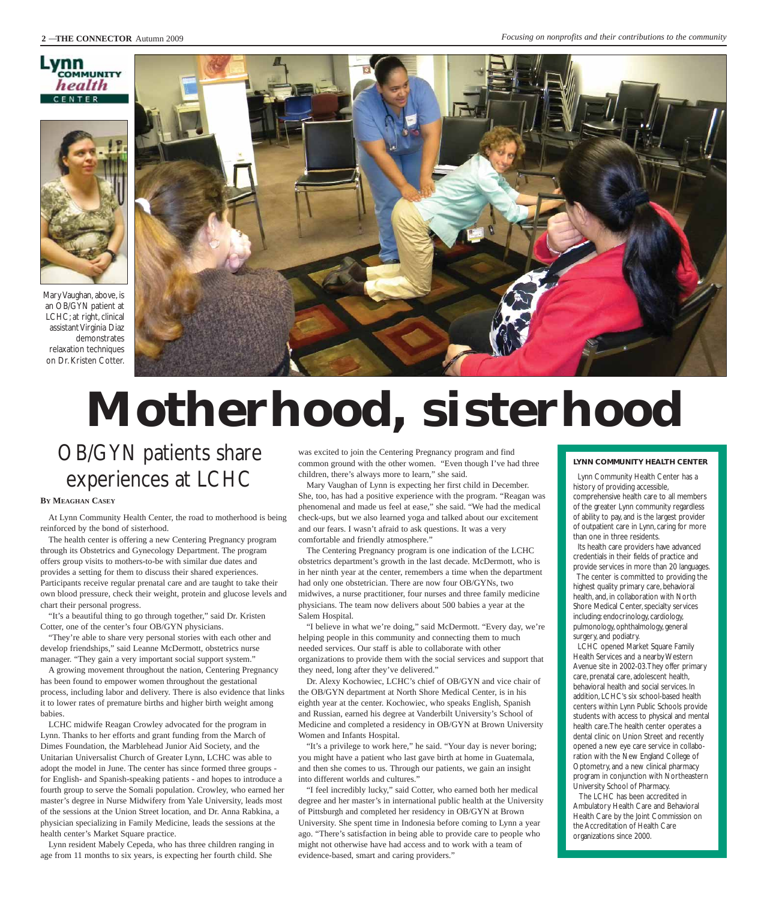### mn COMMUNITY health **FNTFR**



Mary Vaughan, above, is an OB/GYN patient at LCHC; at right, clinical assistant Virginia Diaz demonstrates relaxation techniques on Dr. Kristen Cotter.



## **Motherhood, sisterhood**

## OB/GYN patients share experiences at LCHC

#### **BY MEAGHAN CASEY**

At Lynn Community Health Center, the road to motherhood is being reinforced by the bond of sisterhood.

The health center is offering a new Centering Pregnancy program through its Obstetrics and Gynecology Department. The program offers group visits to mothers-to-be with similar due dates and provides a setting for them to discuss their shared experiences. Participants receive regular prenatal care and are taught to take their own blood pressure, check their weight, protein and glucose levels and chart their personal progress.

"It's a beautiful thing to go through together," said Dr. Kristen Cotter, one of the center's four OB/GYN physicians.

"They're able to share very personal stories with each other and develop friendships," said Leanne McDermott, obstetrics nurse manager. "They gain a very important social support system."

A growing movement throughout the nation, Centering Pregnancy has been found to empower women throughout the gestational process, including labor and delivery. There is also evidence that links it to lower rates of premature births and higher birth weight among babies.

LCHC midwife Reagan Crowley advocated for the program in Lynn. Thanks to her efforts and grant funding from the March of Dimes Foundation, the Marblehead Junior Aid Society, and the Unitarian Universalist Church of Greater Lynn, LCHC was able to adopt the model in June. The center has since formed three groups for English- and Spanish-speaking patients - and hopes to introduce a fourth group to serve the Somali population. Crowley, who earned her master's degree in Nurse Midwifery from Yale University, leads most of the sessions at the Union Street location, and Dr. Anna Rabkina, a physician specializing in Family Medicine, leads the sessions at the health center's Market Square practice.

Lynn resident Mabely Cepeda, who has three children ranging in age from 11 months to six years, is expecting her fourth child. She

was excited to join the Centering Pregnancy program and find common ground with the other women. "Even though I've had three children, there's always more to learn," she said.

Mary Vaughan of Lynn is expecting her first child in December. She, too, has had a positive experience with the program. "Reagan was phenomenal and made us feel at ease," she said. "We had the medical check-ups, but we also learned yoga and talked about our excitement and our fears. I wasn't afraid to ask questions. It was a very comfortable and friendly atmosphere."

The Centering Pregnancy program is one indication of the LCHC obstetrics department's growth in the last decade. McDermott, who is in her ninth year at the center, remembers a time when the department had only one obstetrician. There are now four OB/GYNs, two midwives, a nurse practitioner, four nurses and three family medicine physicians. The team now delivers about 500 babies a year at the Salem Hospital.

"I believe in what we're doing," said McDermott. "Every day, we're helping people in this community and connecting them to much needed services. Our staff is able to collaborate with other organizations to provide them with the social services and support that they need, long after they've delivered."

Dr. Alexy Kochowiec, LCHC's chief of OB/GYN and vice chair of the OB/GYN department at North Shore Medical Center, is in his eighth year at the center. Kochowiec, who speaks English, Spanish and Russian, earned his degree at Vanderbilt University's School of Medicine and completed a residency in OB/GYN at Brown University Women and Infants Hospital.

"It's a privilege to work here," he said. "Your day is never boring; you might have a patient who last gave birth at home in Guatemala, and then she comes to us. Through our patients, we gain an insight into different worlds and cultures."

"I feel incredibly lucky," said Cotter, who earned both her medical degree and her master's in international public health at the University of Pittsburgh and completed her residency in OB/GYN at Brown University. She spent time in Indonesia before coming to Lynn a year ago. "There's satisfaction in being able to provide care to people who might not otherwise have had access and to work with a team of evidence-based, smart and caring providers."

#### **LYNN COMMUNITY HEALTH CENTER**

Lynn Community Health Center has a history of providing accessible,

comprehensive health care to all members of the greater Lynn community regardless of ability to pay, and is the largest provider of outpatient care in Lynn, caring for more than one in three residents.

Its health care providers have advanced credentials in their fields of practice and provide services in more than 20 languages. The center is committed to providing the highest quality primary care, behavioral health, and, in collaboration with North Shore Medical Center, specialty services including: endocrinology, cardiology, pulmonology, ophthalmology, general surgery, and podiatry.

LCHC opened Market Square Family Health Services and a nearby Western Avenue site in 2002-03.They offer primary care, prenatal care, adolescent health, behavioral health and social services. In addition, LCHC's six school-based health centers within Lynn Public Schools provide students with access to physical and mental health care.The health center operates a dental clinic on Union Street and recently opened a new eye care service in collaboration with the New England College of Optometry, and a new clinical pharmacy program in conjunction with Northeastern University School of Pharmacy.

The LCHC has been accredited in Ambulatory Health Care and Behavioral Health Care by the Joint Commission on the Accreditation of Health Care organizations since 2000.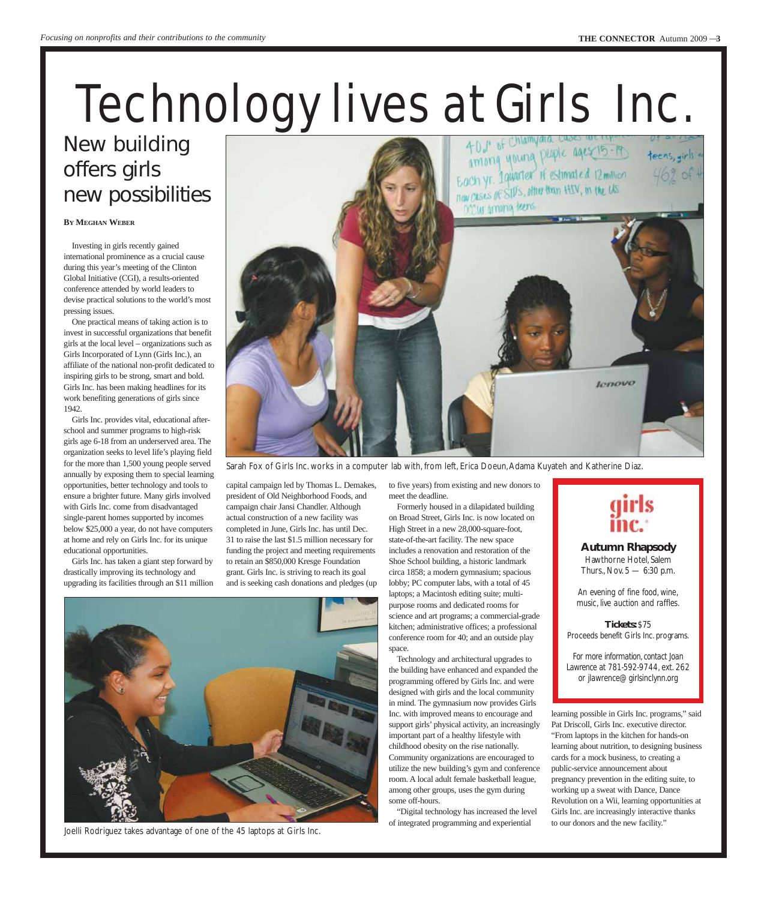## Technology lives at Girls Inc.

## New building offers girls new possibilities

**BY MEGHAN WEBER**

Investing in girls recently gained international prominence as a crucial cause during this year's meeting of the Clinton Global Initiative (CGI), a results-oriented conference attended by world leaders to devise practical solutions to the world's most pressing issues.

One practical means of taking action is to invest in successful organizations that benefit girls at the local level – organizations such as Girls Incorporated of Lynn (Girls Inc.), an affiliate of the national non-profit dedicated to inspiring girls to be strong, smart and bold. Girls Inc. has been making headlines for its work benefiting generations of girls since 1942.

Girls Inc. provides vital, educational afterschool and summer programs to high-risk girls age 6-18 from an underserved area. The organization seeks to level life's playing field for the more than 1,500 young people served annually by exposing them to special learning opportunities, better technology and tools to ensure a brighter future. Many girls involved with Girls Inc. come from disadvantaged single-parent homes supported by incomes below \$25,000 a year, do not have computers at home and rely on Girls Inc. for its unique educational opportunities.

Girls Inc. has taken a giant step forward by drastically improving its technology and upgrading its facilities through an \$11 million



Sarah Fox of Girls Inc. works in a computer lab with, from left, Erica Doeun, Adama Kuyateh and Katherine Diaz.

capital campaign led by Thomas L. Demakes, president of Old Neighborhood Foods, and campaign chair Jansi Chandler. Although actual construction of a new facility was completed in June, Girls Inc. has until Dec. 31 to raise the last \$1.5 million necessary for funding the project and meeting requirements to retain an \$850,000 Kresge Foundation grant. Girls Inc. is striving to reach its goal and is seeking cash donations and pledges (up

to five years) from existing and new donors to meet the deadline. Formerly housed in a dilapidated building

on Broad Street, Girls Inc. is now located on High Street in a new 28,000-square-foot, state-of-the-art facility. The new space includes a renovation and restoration of the Shoe School building, a historic landmark circa 1858; a modern gymnasium; spacious lobby; PC computer labs, with a total of 45 laptops; a Macintosh editing suite; multipurpose rooms and dedicated rooms for science and art programs; a commercial-grade kitchen; administrative offices; a professional conference room for 40; and an outside play space.

Technology and architectural upgrades to the building have enhanced and expanded the programming offered by Girls Inc. and were designed with girls and the local community in mind. The gymnasium now provides Girls Inc. with improved means to encourage and support girls' physical activity, an increasingly important part of a healthy lifestyle with childhood obesity on the rise nationally. Community organizations are encouraged to utilize the new building's gym and conference room. A local adult female basketball league, among other groups, uses the gym during some off-hours.

"Digital technology has increased the level of integrated programming and experiential



**Autumn Rhapsody**  Hawthorne Hotel, Salem Thurs., Nov. 5 — 6:30 p.m.

*An evening of fine food, wine, music, live auction and raffles.*

**Tickets:** \$75 Proceeds benefit Girls Inc. programs.

*For more information, contact Joan Lawrence at 781-592-9744, ext. 262 or jlawrence@girlsinclynn.org* 

learning possible in Girls Inc. programs," said Pat Driscoll, Girls Inc. executive director. "From laptops in the kitchen for hands-on learning about nutrition, to designing business cards for a mock business, to creating a public-service announcement about pregnancy prevention in the editing suite, to working up a sweat with Dance, Dance Revolution on a Wii, learning opportunities at Girls Inc. are increasingly interactive thanks to our donors and the new facility."



Joelli Rodriguez takes advantage of one of the 45 laptops at Girls Inc.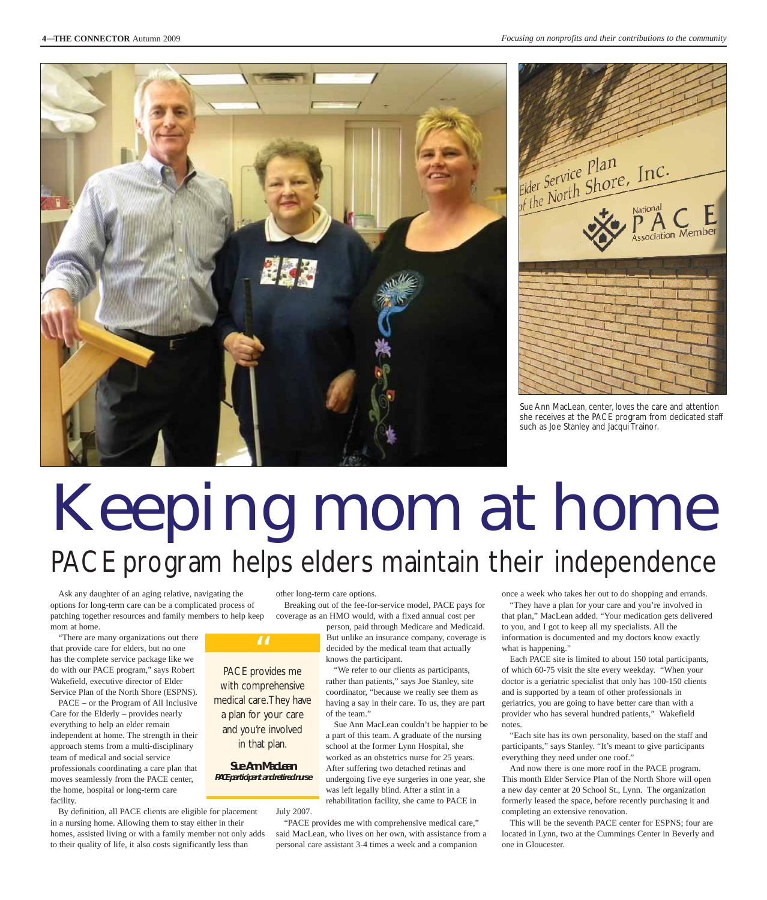



Sue Ann MacLean, center, loves the care and attention she receives at the PACE program from dedicated staff such as Joe Stanley and Jacqui Trainor.

## Keeping mom at home PACE program helps elders maintain their independence

Ask any daughter of an aging relative, navigating the options for long-term care can be a complicated process of patching together resources and family members to help keep mom at home.

"There are many organizations out there that provide care for elders, but no one has the complete service package like we do with our PACE program," says Robert Wakefield, executive director of Elder Service Plan of the North Shore (ESPNS).

PACE – or the Program of All Inclusive Care for the Elderly – provides nearly everything to help an elder remain independent at home. The strength in their approach stems from a multi-disciplinary team of medical and social service professionals coordinating a care plan that moves seamlessly from the PACE center, the home, hospital or long-term care facility.

By definition, all PACE clients are eligible for placement in a nursing home. Allowing them to stay either in their homes, assisted living or with a family member not only adds to their quality of life, it also costs significantly less than

other long-term care options.

Breaking out of the fee-for-service model, PACE pays for coverage as an HMO would, with a fixed annual cost per

> person, paid through Medicare and Medicaid. But unlike an insurance company, coverage is decided by the medical team that actually knows the participant.

"We refer to our clients as participants, rather than patients," says Joe Stanley, site coordinator, "because we really see them as having a say in their care. To us, they are part of the team."

Sue Ann MacLean couldn't be happier to be a part of this team. A graduate of the nursing school at the former Lynn Hospital, she worked as an obstetrics nurse for 25 years. After suffering two detached retinas and undergoing five eye surgeries in one year, she was left legally blind. After a stint in a rehabilitation facility, she came to PACE in

July 2007.

PACE provides me with comprehensive medical care.They have a plan for your care and you're involved in that plan.

"

**Sue Ann MacLean PACE participant and retired nurse**

> "PACE provides me with comprehensive medical care," said MacLean, who lives on her own, with assistance from a personal care assistant 3-4 times a week and a companion

once a week who takes her out to do shopping and errands.

"They have a plan for your care and you're involved in that plan," MacLean added. "Your medication gets delivered to you, and I got to keep all my specialists. All the information is documented and my doctors know exactly what is happening."

Each PACE site is limited to about 150 total participants, of which 60-75 visit the site every weekday. "When your doctor is a geriatric specialist that only has 100-150 clients and is supported by a team of other professionals in geriatrics, you are going to have better care than with a provider who has several hundred patients," Wakefield notes

"Each site has its own personality, based on the staff and participants," says Stanley. "It's meant to give participants everything they need under one roof."

And now there is one more roof in the PACE program. This month Elder Service Plan of the North Shore will open a new day center at 20 School St., Lynn. The organization formerly leased the space, before recently purchasing it and completing an extensive renovation.

This will be the seventh PACE center for ESPNS; four are located in Lynn, two at the Cummings Center in Beverly and one in Gloucester.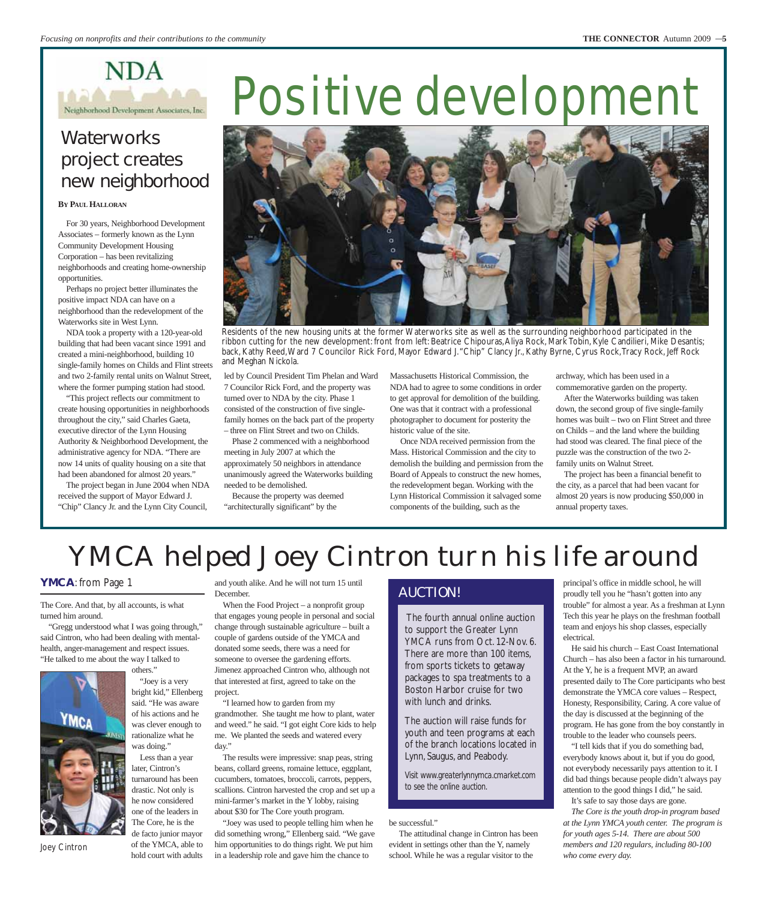

## **Waterworks** project creates new neighborhood

#### **BY PAUL HALLORAN**

For 30 years, Neighborhood Development Associates – formerly known as the Lynn Community Development Housing Corporation – has been revitalizing neighborhoods and creating home-ownership opportunities.

Perhaps no project better illuminates the positive impact NDA can have on a neighborhood than the redevelopment of the Waterworks site in West Lynn.

NDA took a property with a 120-year-old building that had been vacant since 1991 and created a mini-neighborhood, building 10 single-family homes on Childs and Flint streets and two 2-family rental units on Walnut Street, where the former pumping station had stood.

"This project reflects our commitment to create housing opportunities in neighborhoods throughout the city," said Charles Gaeta, executive director of the Lynn Housing Authority & Neighborhood Development, the administrative agency for NDA. "There are now 14 units of quality housing on a site that had been abandoned for almost 20 years."

The project began in June 2004 when NDA received the support of Mayor Edward J. "Chip" Clancy Jr. and the Lynn City Council,

## Positive development



Residents of the new housing units at the former Waterworks site as well as the surrounding neighborhood participated in the ribbon cutting for the new development: front from left: Beatrice Chipouras,Aliya Rock, Mark Tobin, Kyle Candilieri, Mike Desantis; back, Kathy Reed,Ward 7 Councilor Rick Ford, Mayor Edward J."Chip" Clancy Jr., Kathy Byrne, Cyrus Rock,Tracy Rock, Jeff Rock and Meghan Nickola.

led by Council President Tim Phelan and Ward 7 Councilor Rick Ford, and the property was turned over to NDA by the city. Phase 1 consisted of the construction of five singlefamily homes on the back part of the property – three on Flint Street and two on Childs.

Phase 2 commenced with a neighborhood meeting in July 2007 at which the approximately 50 neighbors in attendance unanimously agreed the Waterworks building needed to be demolished.

Because the property was deemed "architecturally significant" by the

Massachusetts Historical Commission, the NDA had to agree to some conditions in order to get approval for demolition of the building. One was that it contract with a professional photographer to document for posterity the historic value of the site.

Once NDA received permission from the Mass. Historical Commission and the city to demolish the building and permission from the Board of Appeals to construct the new homes, the redevelopment began. Working with the Lynn Historical Commission it salvaged some components of the building, such as the

archway, which has been used in a commemorative garden on the property.

After the Waterworks building was taken down, the second group of five single-family homes was built – two on Flint Street and three on Childs – and the land where the building had stood was cleared. The final piece of the puzzle was the construction of the two 2 family units on Walnut Street.

The project has been a financial benefit to the city, as a parcel that had been vacant for almost 20 years is now producing \$50,000 in annual property taxes.

## YMCA helped Joey Cintron turn his life around

### **YMCA**: from Page 1

The Core. And that, by all accounts, is what turned him around.

"Gregg understood what I was going through," said Cintron, who had been dealing with mentalhealth, anger-management and respect issues. "He talked to me about the way I talked to others."

> "Joey is a very bright kid," Ellenberg said. "He was aware of his actions and he was clever enough to rationalize what he was doing." Less than a year later, Cintron's turnaround has been drastic. Not only is he now considered one of the leaders in The Core, he is the de facto junior mayor of the YMCA, able to hold court with adults



Joey Cintron

and youth alike. And he will not turn 15 until December.

When the Food Project – a nonprofit group that engages young people in personal and social change through sustainable agriculture – built a couple of gardens outside of the YMCA and donated some seeds, there was a need for someone to oversee the gardening efforts. Jimenez approached Cintron who, although not that interested at first, agreed to take on the project.

"I learned how to garden from my grandmother. She taught me how to plant, water and weed." he said. "I got eight Core kids to help me. We planted the seeds and watered every day."

The results were impressive: snap peas, string beans, collard greens, romaine lettuce, eggplant, cucumbers, tomatoes, broccoli, carrots, peppers, scallions. Cintron harvested the crop and set up a mini-farmer's market in the Y lobby, raising about \$30 for The Core youth program.

"Joey was used to people telling him when he did something wrong," Ellenberg said. "We gave him opportunities to do things right. We put him in a leadership role and gave him the chance to

### AUCTION!

The fourth annual online auction to support the Greater Lynn YMCA runs from Oct. 12-Nov. 6. There are more than 100 items, from sports tickets to getaway packages to spa treatments to a Boston Harbor cruise for two with lunch and drinks.

The auction will raise funds for youth and teen programs at each of the branch locations located in Lynn, Saugus, and Peabody.

*Visit www.greaterlynnymca.cmarket.com to see the online auction.*

#### be successful."

The attitudinal change in Cintron has been evident in settings other than the Y, namely school. While he was a regular visitor to the

principal's office in middle school, he will proudly tell you he "hasn't gotten into any trouble" for almost a year. As a freshman at Lynn Tech this year he plays on the freshman football team and enjoys his shop classes, especially electrical.

He said his church – East Coast International Church – has also been a factor in his turnaround. At the Y, he is a frequent MVP, an award presented daily to The Core participants who best demonstrate the YMCA core values – Respect, Honesty, Responsibility, Caring. A core value of the day is discussed at the beginning of the program. He has gone from the boy constantly in trouble to the leader who counsels peers.

"I tell kids that if you do something bad, everybody knows about it, but if you do good, not everybody necessarily pays attention to it. I did bad things because people didn't always pay attention to the good things I did," he said.

It's safe to say those days are gone.

*The Core is the youth drop-in program based at the Lynn YMCA youth center. The program is for youth ages 5-14. There are about 500 members and 120 regulars, including 80-100 who come every day.*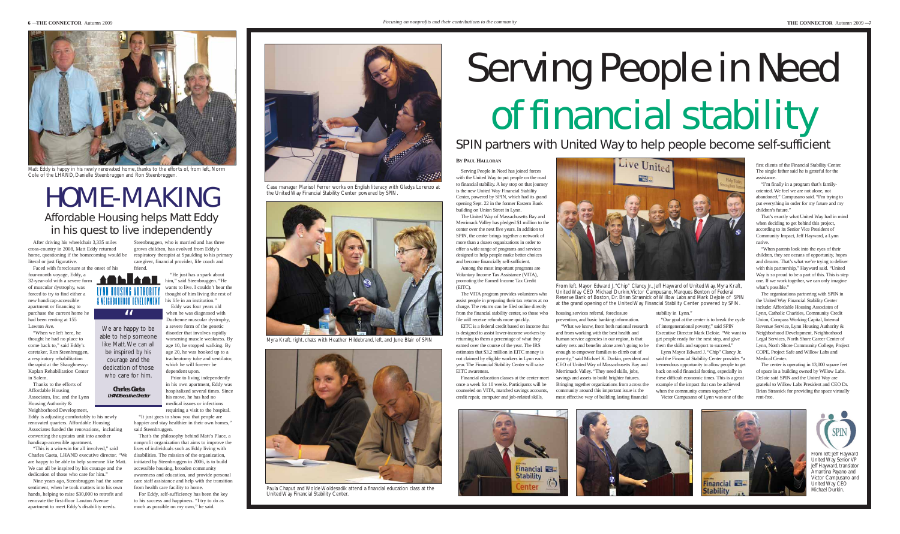Faced with foreclosure at the onset of his four-month voyage, Eddy, a **f** 

After driving his wheelchair 3,335 miles cross-country in 2008, Matt Eddy returned home, questioning if the homecoming would be literal or just figurative.

32-year-old with a severe form of muscular dystrophy, was forced to try to find either a new handicap-accessible apartment or financing to purchase the current home he had been renting at 155 Lawton Ave.

"When we left here, he thought he had no place to come back to," said Eddy's caretaker, Ron Steenbruggen, a respiratory rehabilitation therapist at the Shaughnessy-Kaplan Rehabilitation Center in Salem.

Thanks to the efforts of Affordable Housing Associates, Inc. and the Lynn Housing Authority & Neighborhood Development,

Eddy is adjusting comfortably to his newly renovated quarters. Affordable Housing Associates funded the renovations, including converting the upstairs unit into another handicap-accessible apartment.

"This is a win-win for all involved," said Charles Gaeta, LHAND executive director. "We are happy to be able to help someone like Matt. We can all be inspired by his courage and the dedication of those who care for him."

Nine years ago, Steenbruggen had the same sentiment, when he took matters into his own hands, helping to raise \$30,000 to retrofit and renovate the first-floor Lawton Avenue apartment to meet Eddy's disability needs.

Steenbruggen, who is married and has three grown children, has evolved from Eddy's respiratory therapist at Spaulding to his primary caregiver, financial provider, life coach and friend.

> "He just has a spark about him," said Steenbruggen. "He wants to live. I couldn't bear the thought of him living the rest of his life in an institution." Eddy was four years old

when he was diagnosed with Duchenne muscular dystrophy, a severe form of the genetic disorder that involves rapidly worsening muscle weakness. By age 10, he stopped walking. By age 20, he was hooked up to a tracheotomy tube and ventilator, which he will forever be dependent upon.

Prior to living independently in his own apartment, Eddy was hospitalized several times. Since his move, he has had no medical issues or infections

requiring a visit to the hospital. "It just goes to show you that people are happier and stay healthier in their own homes," said Steenbruggen.

That's the philosophy behind Matt's Place, a nonprofit organization that aims to improve the lives of individuals such as Eddy living with disabilities. The mission of the organization, initiated by Steenbruggen in 2006, is to build accessible housing, broaden community awareness and education, and provide personal care staff assistance and help with the transition from health care facility to home.

For Eddy, self-sufficiency has been the key to his success and happiness. "I try to do as much as possible on my own," he said.

### **BY PAUL HALLORAN**

"When parents look into the eyes of their children, they see oceans of opportunity, hopes and dreams. That's what we're trying to deliver with this partnership," Hayward said. "United Way is so proud to be a part of this. This is step one. If we work together, we can only imagine what's possible."

Serving People in Need has joined forces with the United Way to put people on the road to financial stability. A key stop on that journey is the new United Way Financial Stability Center, powered by SPIN, which had its grand opening Sept. 22 in the former Eastern Bank building on Union Street in Lynn. The United Way of Massachusetts Bay and

Merrimack Valley has pledged \$1 million to the center over the next five years. In addition to SPIN, the center brings together a network of more than a dozen organizations in order to offer a wide range of programs and services designed to help people make better choices Among the most important programs are Voluntary Income Tax Assistance (VITA),

and become financially self-sufficient.

## HOME-MAKING Affordable Housing helps Matt Eddy in his quest to live independently

promoting the Earned Income Tax Credit (EITC).

We are happy to be able to help someone like Matt.We can all be inspired by his courage and the dedication of those who care for him.

The VITA program provides volunteers who assist people in preparing their tax returns at no charge. The returns can be filed online directly from the financial stability center, so those who

file will receive refunds more quickly.

EITC is a federal credit based on income that is designed to assist lower-income workers by returning to them a percentage of what they earned over the course of the year. The IRS estimates that \$3.2 million in EITC money is not claimed by eligible workers in Lynn each year. The Financial Stability Center will raise



From left: leff Hayward United Way Senior VP Jeff Hayward, translator Amantina Payano and Victor Campusano and United Way CEO Michael Durkin.

EITC awareness.



Financial education classes at the center meet once a week for 10 weeks. Participants will be counseled on VITA, matched savings accounts, credit repair, computer and job-related skills,



housing services referral, foreclosure prevention, and basic banking information.

"What we know, from both national research and from working with the best health and human service agencies in our region, is that safety nets and benefits alone aren't going to be enough to empower families to climb out of poverty," said Michael K. Durkin, president and CEO of United Way of Massachusetts Bay and Merrimack Valley. "They need skills, jobs, savings and assets to build brighter futures. Bringing together organizations from across the community around this important issue is the most effective way of building lasting financial

stability in Lynn."

"Our goal at the center is to break the cycle of intergenerational poverty," said SPIN Executive Director Mark DeJoie. "We want to get people ready for the next step, and give them the skills and support to succeed."

Lynn Mayor Edward J. "Chip" Clancy Jr. said the Financial Stability Center provides "a tremendous opportunity to allow people to get back on solid financial footing, especially in these difficult economic times. This is a great example of the impact that can be achieved when the community comes together."

Victor Campusano of Lynn was one of the

first clients of the Financial Stability Center. The single father said he is grateful for the assistance.

"I'm finally in a program that's familyoriented. We feel we are not alone, not abandoned," Campusano said. "I'm trying to put everything in order for my future and my children's future."

That's exactly what United Way had in mind when deciding to get behind this project, according to its Senior Vice President of Community Impact, Jeff Hayward, a Lynn native.

The organizations partnering with SPIN in the United Way Financial Stability Center include: Affordable Housing Associates of Lynn, Catholic Charities, Community Credit Union, Compass Working Capital, Internal Revenue Service, Lynn Housing Authority & Neighborhood Development, Neighborhood Legal Services, North Shore Career Center of Lynn, North Shore Community College, Project COPE, Project Safe and Willow Labs and Medical Center.

The center is operating in 13,000 square feet of space in a building owned by Willow Labs. DeJoie said SPIN and the United Way are grateful to Willow Labs President and CEO Dr. Brian Strasnick for providing the space virtually rent-free.









Matt Eddy is happy in his newly renovated home, thanks to the efforts of, from left, Norm Cole of the LHAND, Danielle Steenbruggen and Ron Steenbruggen.

**Charles Gaeta LHAND Executive Director**

"

& NEIGHBORHOOD DEVELOPMENT

From left, Mayor Edward J."Chip" Clancy Jr., Jeff Hayward of United Way, Myra Kraft, United Way CEO Michael Durkin,Victor Campusano, Marques Benton of Federal Reserve Bank of Boston, Dr. Brian Strasnick of Willow Labs and Mark DeJoie of SPIN at the grand opening of the United Way Financial Stability Center powered by SPIN.

## SPIN partners with United Way to help people become self-sufficient

# Serving People in Need of financial stability



Case manager Marisol Ferrer works on English literacy with Gladys Lorenzo at the United Way Financial Stability Center powered by SPIN.



Myra Kraft, right, chats with Heather Hildebrand, left, and June Blair of SPIN



Paula Chaput and Wolde Woldesadik attend a financial education class at the United Way Financial Stability Center.



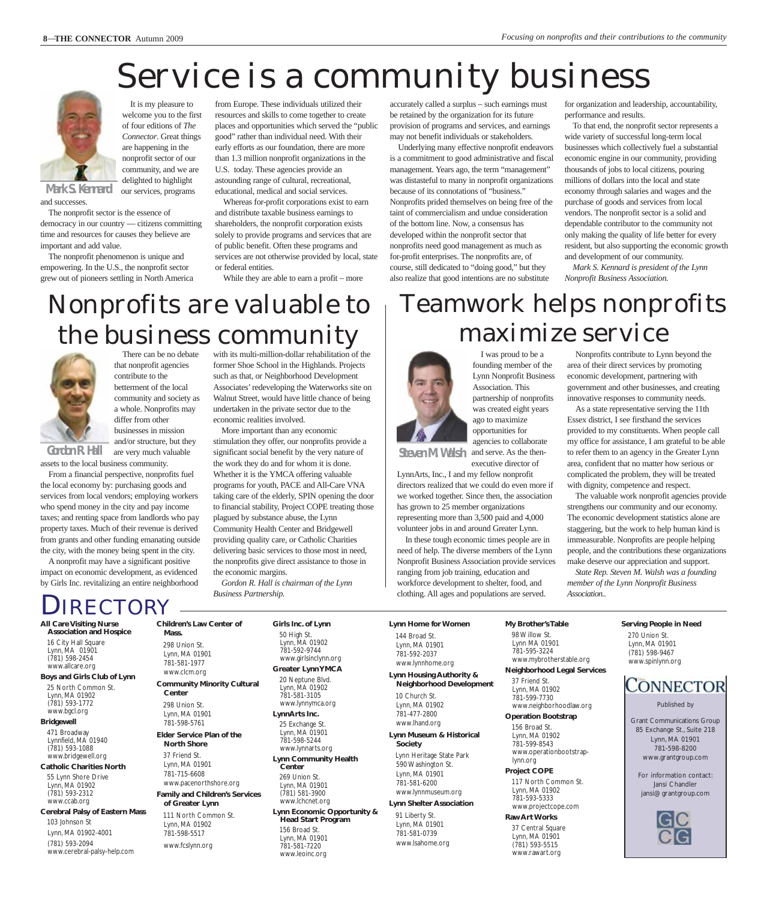## Service is a community business



It is my pleasure to welcome you to the first of four editions of *The Connector*. Great things are happening in the nonprofit sector of our community, and we are delighted to highlight our services, programs

and successes.

The nonprofit sector is the essence of democracy in our country — citizens committing time and resources for causes they believe are important and add value.

The nonprofit phenomenon is unique and empowering. In the U.S., the nonprofit sector grew out of pioneers settling in North America from Europe. These individuals utilized their resources and skills to come together to create places and opportunities which served the "public good" rather than individual need. With their early efforts as our foundation, there are more than 1.3 million nonprofit organizations in the U.S. today. These agencies provide an astounding range of cultural, recreational, educational, medical and social services.

Whereas for-profit corporations exist to earn and distribute taxable business earnings to shareholders, the nonprofit corporation exists solely to provide programs and services that are of public benefit. Often these programs and services are not otherwise provided by local, state or federal entities.

While they are able to earn a profit – more

accurately called a surplus – such earnings must be retained by the organization for its future provision of programs and services, and earnings may not benefit individuals or stakeholders.

Underlying many effective nonprofit endeavors is a commitment to good administrative and fiscal management. Years ago, the term "management" was distasteful to many in nonprofit organizations because of its connotations of "business." Nonprofits prided themselves on being free of the taint of commercialism and undue consideration of the bottom line. Now, a consensus has developed within the nonprofit sector that nonprofits need good management as much as for-profit enterprises. The nonprofits are, of course, still dedicated to "doing good," but they also realize that good intentions are no substitute

for organization and leadership, accountability, performance and results.

To that end, the nonprofit sector represents a wide variety of successful long-term local businesses which collectively fuel a substantial economic engine in our community, providing thousands of jobs to local citizens, pouring millions of dollars into the local and state economy through salaries and wages and the purchase of goods and services from local vendors. The nonprofit sector is a solid and dependable contributor to the community not only making the quality of life better for every resident, but also supporting the economic growth and development of our community.

*Mark S. Kennard is president of the Lynn Nonprofit Business Association.*

## Nonprofits are valuable to the business community



There can be no debate that nonprofit agencies contribute to the betterment of the local community and society as a whole. Nonprofits may differ from other businesses in mission

and/or structure, but they are very much valuable assets to the local business community. **Gordon R. Hall**

From a financial perspective, nonprofits fuel the local economy by: purchasing goods and services from local vendors; employing workers who spend money in the city and pay income taxes; and renting space from landlords who pay property taxes. Much of their revenue is derived from grants and other funding emanating outside the city, with the money being spent in the city.

A nonprofit may have a significant positive impact on economic development, as evidenced by Girls Inc. revitalizing an entire neighborhood

#### with its multi-million-dollar rehabilitation of the former Shoe School in the Highlands. Projects such as that, or Neighborhood Development Associates' redeveloping the Waterworks site on Walnut Street, would have little chance of being undertaken in the private sector due to the economic realities involved.

More important than any economic stimulation they offer, our nonprofits provide a significant social benefit by the very nature of the work they do and for whom it is done. Whether it is the YMCA offering valuable programs for youth, PACE and All-Care VNA taking care of the elderly, SPIN opening the door to financial stability, Project COPE treating those plagued by substance abuse, the Lynn Community Health Center and Bridgewell providing quality care, or Catholic Charities delivering basic services to those most in need, the nonprofits give direct assistance to those in the economic margins.

*Gordon R. Hall is chairman of the Lynn Business Partnership.* 

## Teamwork helps nonprofits maximize service



I was proud to be a founding member of the Lynn Nonprofit Business Association. This partnership of nonprofits was created eight years ago to maximize opportunities for agencies to collaborate

and serve. As the thenexecutive director of **Steven M. Walsh**

LynnArts, Inc., I and my fellow nonprofit directors realized that we could do even more if we worked together. Since then, the association has grown to 25 member organizations representing more than 3,500 paid and 4,000 volunteer jobs in and around Greater Lynn.

In these tough economic times people are in need of help. The diverse members of the Lynn Nonprofit Business Association provide services ranging from job training, education and workforce development to shelter, food, and clothing. All ages and populations are served.

Nonprofits contribute to Lynn beyond the area of their direct services by promoting economic development, partnering with government and other businesses, and creating innovative responses to community needs.

As a state representative serving the 11th Essex district, I see firsthand the services provided to my constituents. When people call my office for assistance, I am grateful to be able to refer them to an agency in the Greater Lynn area, confident that no matter how serious or complicated the problem, they will be treated with dignity, competence and respect.

The valuable work nonprofit agencies provide strengthens our community and our economy. The economic development statistics alone are staggering, but the work to help human kind is immeasurable. Nonprofits are people helping people, and the contributions these organizations make deserve our appreciation and support.

*State Rep. Steven M. Walsh was a founding member of the Lynn Nonprofit Business Association.*.

### **All Care Visiting Nurse** IRECTORY

**Association and Hospice** 16 City Hall Square Lynn, MA 01901 (781) 598-2454 www.allcare.org

**Boys and Girls Club of Lynn** 25 North Common St. Lynn, MA 01902 (781) 593-1772 www.bgcl.org

#### **Bridgewell** 471 Broadway

Lynnfield, MA 01940 (781) 593-1088 www.bridgewell.org **Catholic Charities North**

55 Lynn Shore Drive Lynn, MA 01902 (781) 593-2312 www.ccab.org

**Cerebral Palsy of Eastern Mass** 103 Johnson St Lynn, MA 01902-4001 (781) 593-2094 www.cerebral-palsy-help.com

**Children's Law Center of Mass.** 298 Union St. Lynn, MA 01901 781-581-1977 www.clcm.org **Community Minority Cultural**

#### **Center** 298 Union St. Lynn, MA 01901

781-598-5761 **Elder Service Plan of the North Shore**

37 Friend St. Lynn, MA 01901 781-715-6608 www.pacenorthshore.org

**Family and Children's Services of Greater Lynn** 111 North Common St.

Lynn, MA 01902 781-598-5517

www.fcslynn.org

50 High St. Lynn, MA 01902 781-592-9744 www.girlsinclynn.org **Greater Lynn YMCA** 20 Neptune Blvd. Lynn, MA 01902 781-581-3105 www.lynnymca.org **LynnArts Inc.** 25 Exchange St. Lynn, MA 01901 781-598-5244 www.lynnarts.org **Lynn Community Health Center**

269 Union St.

781-581-7220 www.leoinc.org

**Girls Inc. of Lynn** 

Lynn, MA 01901 (781) 581-3900 www.lchcnet.org **Lynn Economic Opportunity & Head Start Program** 156 Broad St. Lynn, MA 01901

**Lynn Home for Women** 144 Broad St.

**Lynn Housing Authority & Neighborhood Development** 10 Church St. Lynn, MA 01902 781-477-2800

**Society**  Lynn Heritage State Park 590 Washington St.

781-581-6200 www.lynnmuseum.org

#### 91 Liberty St.

Lynn, MA 01901 781-581-0739 www.lsahome.org **My Brother's Table** 98 Willow St. Lynn MA 01901 781-595-3224 www.mybrotherstable.org **Neighborhood Legal Services**

37 Friend St. Lynn, MA 01902 781-599-7730 www.neighborhoodlaw.org **Operation Bootstrap** 156 Broad St. Lynn, MA 01902 781-599-8543 www.operationbootstraplynn.org **Project COPE** 117 North Common St. Lynn, MA 01902

781-593-5333 www.projectcope.com **Raw Art Works**

37 Central Square Lynn, MA 01901 (781) 593-5515 www.rawart.org

270 Union St. Lynn, MA 01901 (781) 598-9467 www.spinlynn.org

**Serving People in Need**

## **CONNECTOR**

Published by

Grant Communications Group 85 Exchange St., Suite 218 Lynn, MA 01901 781-598-8200 www.grantgroup.com

For information contact: Jansi Chandler jansi@grantgroup.com



Lynn, MA 01901 781-592-2037 www.lynnhome.org

### www.lhand.org **Lynn Museum & Historical**

## Lynn, MA 01901

**Lynn Shelter Association**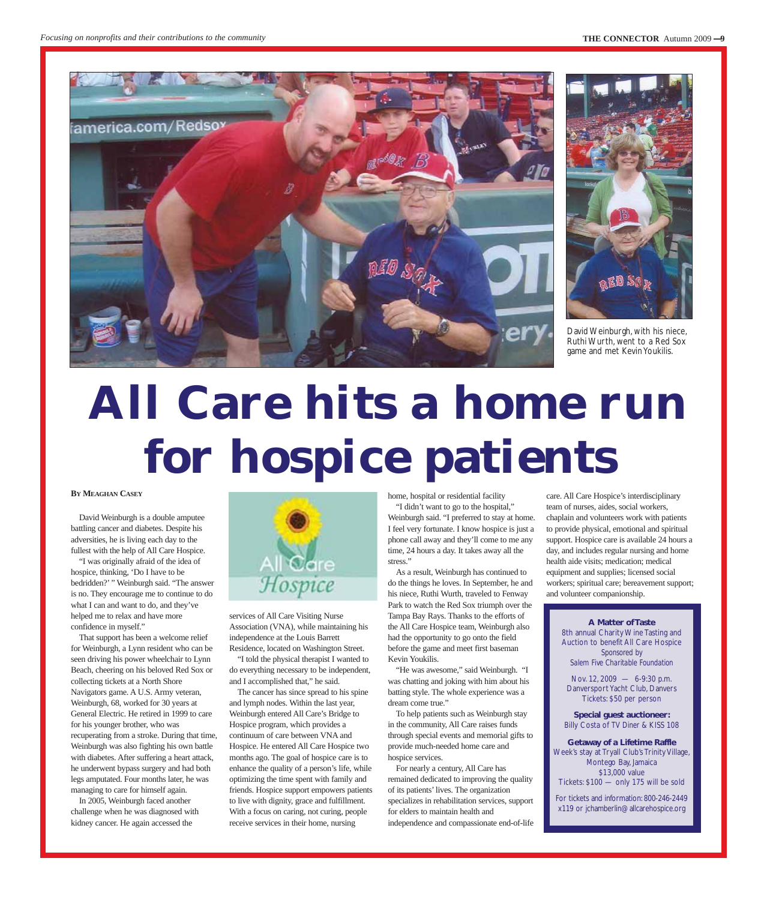



David Weinburgh, with his niece, Ruthi Wurth, went to a Red Sox game and met Kevin Youkilis.

## **All Care hits a home run for hospice patients**

#### **BY MEAGHAN CASEY**

David Weinburgh is a double amputee battling cancer and diabetes. Despite his adversities, he is living each day to the fullest with the help of All Care Hospice.

"I was originally afraid of the idea of hospice, thinking, 'Do I have to be bedridden?' " Weinburgh said. "The answer is no. They encourage me to continue to do what I can and want to do, and they've helped me to relax and have more confidence in myself."

That support has been a welcome relief for Weinburgh, a Lynn resident who can be seen driving his power wheelchair to Lynn Beach, cheering on his beloved Red Sox or collecting tickets at a North Shore Navigators game. A U.S. Army veteran, Weinburgh, 68, worked for 30 years at General Electric. He retired in 1999 to care for his younger brother, who was recuperating from a stroke. During that time, Weinburgh was also fighting his own battle with diabetes. After suffering a heart attack, he underwent bypass surgery and had both legs amputated. Four months later, he was managing to care for himself again.

In 2005, Weinburgh faced another challenge when he was diagnosed with kidney cancer. He again accessed the



services of All Care Visiting Nurse Association (VNA), while maintaining his independence at the Louis Barrett Residence, located on Washington Street.

"I told the physical therapist I wanted to do everything necessary to be independent, and I accomplished that," he said.

The cancer has since spread to his spine and lymph nodes. Within the last year, Weinburgh entered All Care's Bridge to Hospice program, which provides a continuum of care between VNA and Hospice. He entered All Care Hospice two months ago. The goal of hospice care is to enhance the quality of a person's life, while optimizing the time spent with family and friends. Hospice support empowers patients to live with dignity, grace and fulfillment. With a focus on caring, not curing, people receive services in their home, nursing

home, hospital or residential facility

"I didn't want to go to the hospital," Weinburgh said. "I preferred to stay at home. I feel very fortunate. I know hospice is just a phone call away and they'll come to me any time, 24 hours a day. It takes away all the stress."

As a result, Weinburgh has continued to do the things he loves. In September, he and his niece, Ruthi Wurth, traveled to Fenway Park to watch the Red Sox triumph over the Tampa Bay Rays. Thanks to the efforts of the All Care Hospice team, Weinburgh also had the opportunity to go onto the field before the game and meet first baseman Kevin Youkilis.

"He was awesome," said Weinburgh. "I was chatting and joking with him about his batting style. The whole experience was a dream come true."

To help patients such as Weinburgh stay in the community, All Care raises funds through special events and memorial gifts to provide much-needed home care and hospice services.

For nearly a century, All Care has remained dedicated to improving the quality of its patients' lives. The organization specializes in rehabilitation services, support for elders to maintain health and independence and compassionate end-of-life

care. All Care Hospice's interdisciplinary team of nurses, aides, social workers, chaplain and volunteers work with patients to provide physical, emotional and spiritual support. Hospice care is available 24 hours a day, and includes regular nursing and home health aide visits; medication; medical equipment and supplies; licensed social workers; spiritual care; bereavement support; and volunteer companionship.

#### **A Matter of Taste**

8th annual Charity Wine Tasting and Auction to benefit All Care Hospice *Sponsored by Salem Five Charitable Foundation*

Nov. 12, 2009 — 6-9:30 p.m. Danversport Yacht Club, Danvers Tickets: \$50 per person

**Special guest auctioneer:** Billy Costa of *TV Diner* & KISS 108

**Getaway of a Lifetime Raffle** Week's stay at Tryall Club's Trinity Village, Montego Bay, Jamaica \$13,000 value Tickets: \$100 — only 175 will be sold

For tickets and information: 800-246-2449 x119 or jchamberlin@allcarehospice.org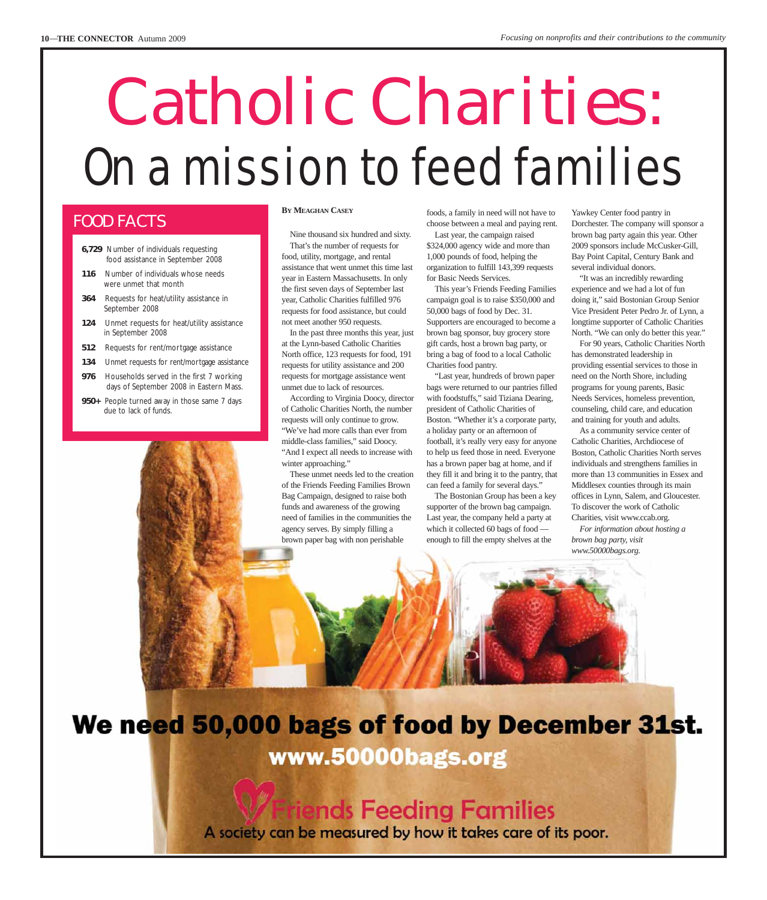## Catholic Charities: On a mission to feed families

### FOOD FACTS

- **6,729** Number of individuals requesting food assistance in September 2008
- **116** Number of individuals whose needs were unmet that month
- **364** Requests for heat/utility assistance in September 2008
- **124** Unmet requests for heat/utility assistance in September 2008
- **512** Requests for rent/mortgage assistance
- **134** Unmet requests for rent/mortgage assistance
- **976** Households served in the first 7 working days of September 2008 in Eastern Mass.
- **950+** People turned away in those same 7 days due to lack of funds.

#### **BY MEAGHAN CASEY**

Nine thousand six hundred and sixty. That's the number of requests for food, utility, mortgage, and rental assistance that went unmet this time last year in Eastern Massachusetts. In only the first seven days of September last year, Catholic Charities fulfilled 976 requests for food assistance, but could not meet another 950 requests.

In the past three months this year, just at the Lynn-based Catholic Charities North office, 123 requests for food, 191 requests for utility assistance and 200 requests for mortgage assistance went unmet due to lack of resources.

According to Virginia Doocy, director of Catholic Charities North, the number requests will only continue to grow. "We've had more calls than ever from middle-class families," said Doocy. "And I expect all needs to increase with winter approaching."

These unmet needs led to the creation of the Friends Feeding Families Brown Bag Campaign, designed to raise both funds and awareness of the growing need of families in the communities the agency serves. By simply filling a brown paper bag with non perishable

foods, a family in need will not have to choose between a meal and paying rent.

Last year, the campaign raised \$324,000 agency wide and more than 1,000 pounds of food, helping the organization to fulfill 143,399 requests for Basic Needs Services.

This year's Friends Feeding Families campaign goal is to raise \$350,000 and 50,000 bags of food by Dec. 31. Supporters are encouraged to become a brown bag sponsor, buy grocery store gift cards, host a brown bag party, or bring a bag of food to a local Catholic Charities food pantry.

"Last year, hundreds of brown paper bags were returned to our pantries filled with foodstuffs," said Tiziana Dearing, president of Catholic Charities of Boston. "Whether it's a corporate party, a holiday party or an afternoon of football, it's really very easy for anyone to help us feed those in need. Everyone has a brown paper bag at home, and if they fill it and bring it to the pantry, that can feed a family for several days."

The Bostonian Group has been a key supporter of the brown bag campaign. Last year, the company held a party at which it collected 60 bags of food enough to fill the empty shelves at the

Yawkey Center food pantry in Dorchester. The company will sponsor a brown bag party again this year. Other 2009 sponsors include McCusker-Gill, Bay Point Capital, Century Bank and several individual donors.

"It was an incredibly rewarding experience and we had a lot of fun doing it," said Bostonian Group Senior Vice President Peter Pedro Jr. of Lynn, a longtime supporter of Catholic Charities North. "We can only do better this year."

For 90 years, Catholic Charities North has demonstrated leadership in providing essential services to those in need on the North Shore, including programs for young parents, Basic Needs Services, homeless prevention, counseling, child care, and education and training for youth and adults.

As a community service center of Catholic Charities, Archdiocese of Boston, Catholic Charities North serves individuals and strengthens families in more than 13 communities in Essex and Middlesex counties through its main offices in Lynn, Salem, and Gloucester. To discover the work of Catholic Charities, visit www.ccab.org. *For information about hosting a*

*brown bag party, visit www.50000bags.org.*



## We need 50,000 bags of food by December 31st. www.50000bags.org

nds Feeding Families

A society can be measured by how it takes care of its poor.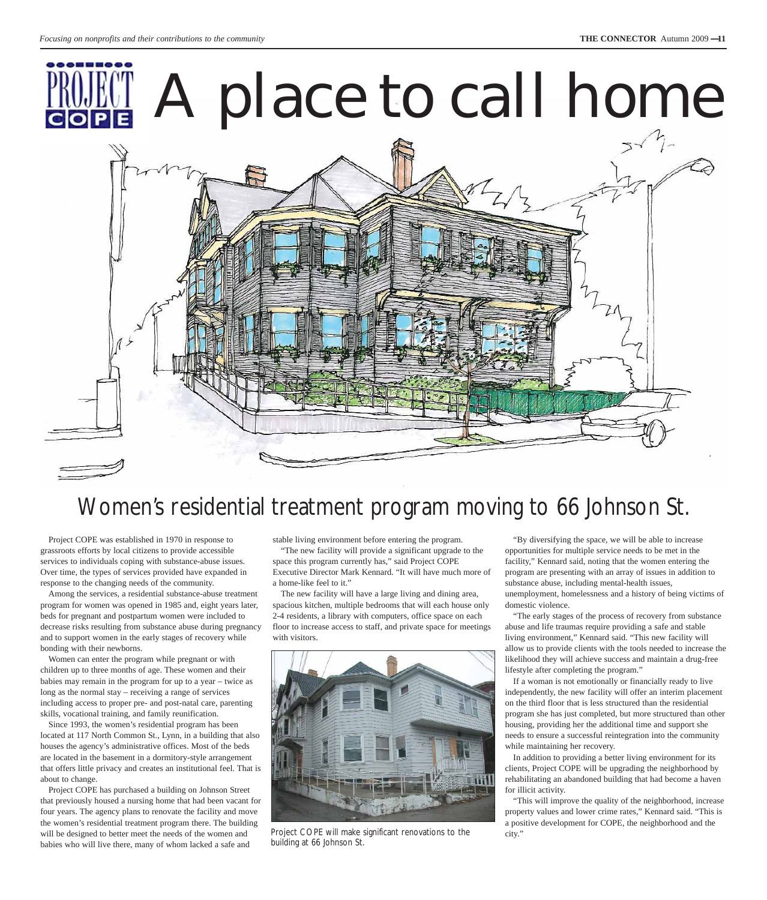# A place to call home



## Women's residential treatment program moving to 66 Johnson St.

Project COPE was established in 1970 in response to grassroots efforts by local citizens to provide accessible services to individuals coping with substance-abuse issues. Over time, the types of services provided have expanded in response to the changing needs of the community.

Among the services, a residential substance-abuse treatment program for women was opened in 1985 and, eight years later, beds for pregnant and postpartum women were included to decrease risks resulting from substance abuse during pregnancy and to support women in the early stages of recovery while bonding with their newborns.

Women can enter the program while pregnant or with children up to three months of age. These women and their babies may remain in the program for up to a year – twice as long as the normal stay – receiving a range of services including access to proper pre- and post-natal care, parenting skills, vocational training, and family reunification.

Since 1993, the women's residential program has been located at 117 North Common St., Lynn, in a building that also houses the agency's administrative offices. Most of the beds are located in the basement in a dormitory-style arrangement that offers little privacy and creates an institutional feel. That is about to change.

Project COPE has purchased a building on Johnson Street that previously housed a nursing home that had been vacant for four years. The agency plans to renovate the facility and move the women's residential treatment program there. The building will be designed to better meet the needs of the women and babies who will live there, many of whom lacked a safe and

stable living environment before entering the program.

"The new facility will provide a significant upgrade to the space this program currently has," said Project COPE Executive Director Mark Kennard. "It will have much more of a home-like feel to it."

The new facility will have a large living and dining area, spacious kitchen, multiple bedrooms that will each house only 2-4 residents, a library with computers, office space on each floor to increase access to staff, and private space for meetings with visitors.



Project COPE will make significant renovations to the building at 66 Johnson St.

"By diversifying the space, we will be able to increase opportunities for multiple service needs to be met in the facility," Kennard said, noting that the women entering the program are presenting with an array of issues in addition to substance abuse, including mental-health issues, unemployment, homelessness and a history of being victims of domestic violence.

"The early stages of the process of recovery from substance abuse and life traumas require providing a safe and stable living environment," Kennard said. "This new facility will allow us to provide clients with the tools needed to increase the likelihood they will achieve success and maintain a drug-free lifestyle after completing the program."

If a woman is not emotionally or financially ready to live independently, the new facility will offer an interim placement on the third floor that is less structured than the residential program she has just completed, but more structured than other housing, providing her the additional time and support she needs to ensure a successful reintegration into the community while maintaining her recovery.

In addition to providing a better living environment for its clients, Project COPE will be upgrading the neighborhood by rehabilitating an abandoned building that had become a haven for illicit activity.

"This will improve the quality of the neighborhood, increase property values and lower crime rates," Kennard said. "This is a positive development for COPE, the neighborhood and the city."